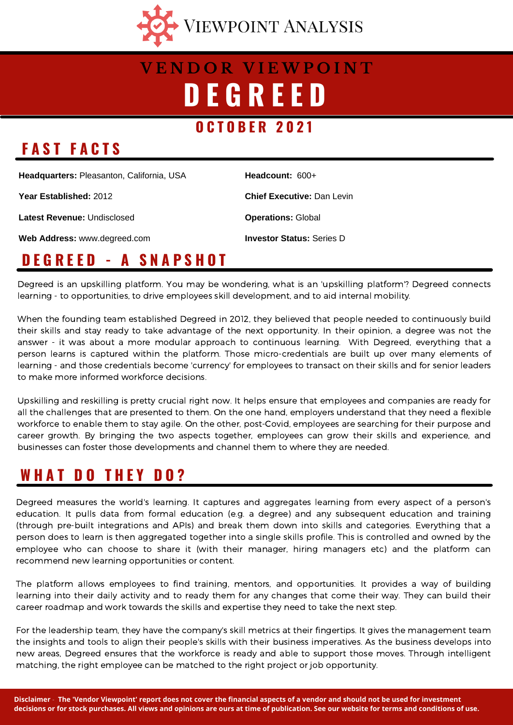

# **D E G R E E D V E N D O R V I E W P O I N T**

#### **O C T O B E R 2 0 2 1**

### **F A S T F A C T S**

**Headquarters:** Pleasanton, California, USA

**Year Established:** 2012

**Latest Revenue:** Undisclosed

**Web Address:** www.degreed.com

**Headcount:** 600+

**Chief Executive:** Dan Levin

**Operations:** Global

**Investor Status:** Series D

### **D E G R E E D - A S N A P S H O T**

Degreed is an upskilling platform. You may be wondering, what is an 'upskilling platform'? Degreed connects learning - to opportunities, to drive employees skill development, and to aid internal mobility.

When the founding team established Degreed in 2012, they believed that people needed to continuously build their skills and stay ready to take advantage of the next opportunity. In their opinion, a degree was not the answer - it was about a more modular approach to continuous learning. With Degreed, everything that a person learns is captured within the platform. Those micro-credentials are built up over many elements of learning - and those credentials become 'currency' for employees to transact on their skills and for senior leaders to make more informed workforce decisions.

Upskilling and reskilling is pretty crucial right now. It helps ensure that employees and companies are ready for all the challenges that are presented to them. On the one hand, employers understand that they need a flexible workforce to enable them to stay agile. On the other, post-Covid, employees are searching for their purpose and career growth. By bringing the two aspects together, employees can grow their skills and experience, and businesses can foster those developments and channel them to where they are needed.

### **W H A T D O T H E Y D O ?**

Degreed measures the world's learning. It captures and aggregates learning from every aspect of a person's education. It pulls data from formal education (e.g. a degree) and any subsequent education and training (through pre-built integrations and APIs) and break them down into skills and categories. Everything that a person does to learn is then aggregated together into a single skills profile. This is controlled and owned by the employee who can choose to share it (with their manager, hiring managers etc) and the platform can recommend new learning opportunities or content.

The platform allows employees to find training, mentors, and opportunities. It provides a way of building learning into their daily activity and to ready them for any changes that come their way. They can build their career roadmap and work towards the skills and expertise they need to take the next step.

For the leadership team, they have the company's skill metrics at their fingertips. It gives the management team the insights and tools to align their people's skills with their business imperatives. As the business develops into new areas, Degreed ensures that the workforce is ready and able to support those moves. Through intelligent matching, the right employee can be matched to the right project or job opportunity.